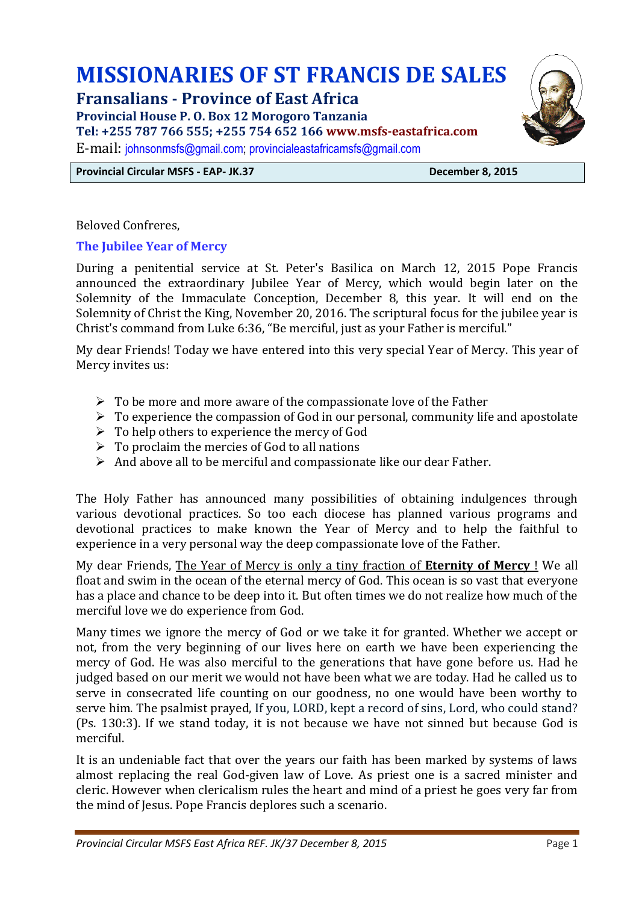# **MISSIONARIES OF ST FRANCIS DE SALES**

## **Fransalians - Province of East Africa**

**Provincial House P. O. Box 12 Morogoro Tanzania** 

**Tel: +255 787 766 555; +255 754 652 166 www.msfs-eastafrica.com**

E-mail: [johnsonmsfs@gmail.com;](mailto:johnsonmsfs@gmail.com) [provincialeastafricamsfs@gmail.com](mailto:provincialeastafricamsfs@gmail.com)

**Provincial Circular MSFS - EAP- JK.37 December 8, 2015**

Beloved Confreres,

### **The Jubilee Year of Mercy**

During a penitential service at St. Peter's Basilica on March 12, 2015 Pope Francis announced the extraordinary Jubilee Year of Mercy, which would begin later on the Solemnity of the Immaculate Conception, December 8, this year. It will end on the Solemnity of Christ the King, November 20, 2016. The scriptural focus for the jubilee year is Christ's command from Luke 6:36, "Be merciful, just as your Father is merciful."

My dear Friends! Today we have entered into this very special Year of Mercy. This year of Mercy invites us:

- $\triangleright$  To be more and more aware of the compassionate love of the Father
- $\triangleright$  To experience the compassion of God in our personal, community life and apostolate
- $\triangleright$  To help others to experience the mercy of God
- $\triangleright$  To proclaim the mercies of God to all nations
- $\triangleright$  And above all to be merciful and compassionate like our dear Father.

The Holy Father has announced many possibilities of obtaining indulgences through various devotional practices. So too each diocese has planned various programs and devotional practices to make known the Year of Mercy and to help the faithful to experience in a very personal way the deep compassionate love of the Father.

My dear Friends, The Year of Mercy is only a tiny fraction of **Eternity of Mercy** ! We all float and swim in the ocean of the eternal mercy of God. This ocean is so vast that everyone has a place and chance to be deep into it. But often times we do not realize how much of the merciful love we do experience from God.

Many times we ignore the mercy of God or we take it for granted. Whether we accept or not, from the very beginning of our lives here on earth we have been experiencing the mercy of God. He was also merciful to the generations that have gone before us. Had he judged based on our merit we would not have been what we are today. Had he called us to serve in consecrated life counting on our goodness, no one would have been worthy to serve him. The psalmist prayed, If you, LORD, kept a record of sins, Lord, who could stand? (Ps. 130:3). If we stand today, it is not because we have not sinned but because God is merciful.

It is an undeniable fact that over the years our faith has been marked by systems of laws almost replacing the real God-given law of Love. As priest one is a sacred minister and cleric. However when clericalism rules the heart and mind of a priest he goes very far from the mind of Jesus. Pope Francis deplores such a scenario.

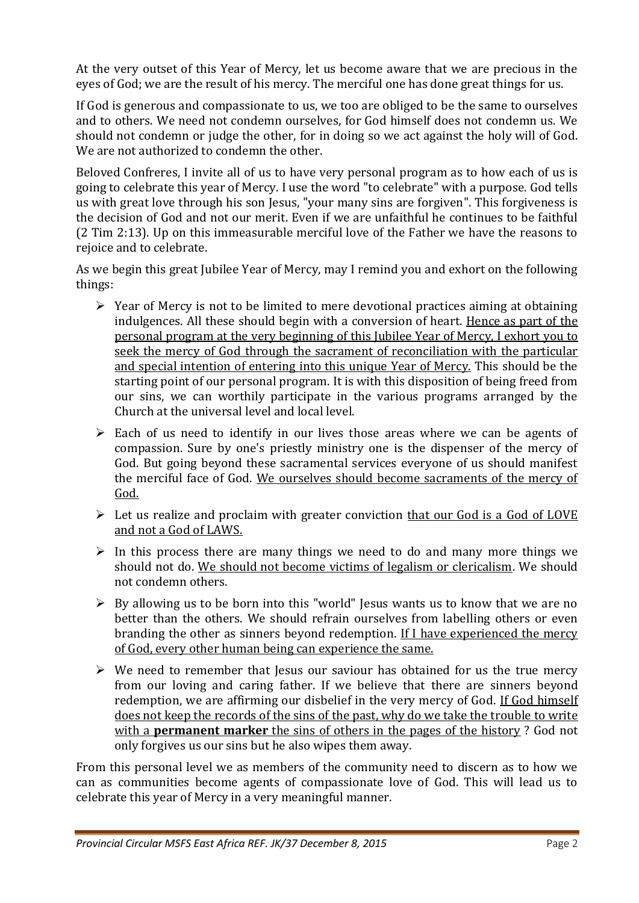At the very outset of this Year of Mercy, let us become aware that we are precious in the eyes of God; we are the result of his mercy. The merciful one has done great things for us.

If God is generous and compassionate to us, we too are obliged to be the same to ourselves and to others. We need not condemn ourselves, for God himself does not condemn us. We should not condemn or judge the other, for in doing so we act against the holy will of God. We are not authorized to condemn the other.

Beloved Confreres, I invite all of us to have very personal program as to how each of us is going to celebrate this year of Mercy. I use the word "to celebrate" with a purpose. God tells us with great love through his son Jesus, "your many sins are forgiven". This forgiveness is the decision of God and not our merit. Even if we are unfaithful he continues to be faithful (2 Tim 2:13). Up on this immeasurable merciful love of the Father we have the reasons to rejoice and to celebrate.

As we begin this great Jubilee Year of Mercy, may I remind you and exhort on the following things:

- $\triangleright$  Year of Mercy is not to be limited to mere devotional practices aiming at obtaining indulgences. All these should begin with a conversion of heart. Hence as part of the personal program at the very beginning of this Jubilee Year of Mercy, I exhort you to seek the mercy of God through the sacrament of reconciliation with the particular and special intention of entering into this unique Year of Mercy. This should be the starting point of our personal program. It is with this disposition of being freed from our sins, we can worthily participate in the various programs arranged by the Church at the universal level and local level.
- $\triangleright$  Each of us need to identify in our lives those areas where we can be agents of compassion. Sure by one's priestly ministry one is the dispenser of the mercy of God. But going beyond these sacramental services everyone of us should manifest the merciful face of God. We ourselves should become sacraments of the mercy of God.
- $\triangleright$  Let us realize and proclaim with greater conviction that our God is a God of LOVE and not a God of LAWS.
- $\triangleright$  In this process there are many things we need to do and many more things we should not do. We should not become victims of legalism or clericalism. We should not condemn others.
- $\triangleright$  By allowing us to be born into this "world" Jesus wants us to know that we are no better than the others. We should refrain ourselves from labelling others or even branding the other as sinners beyond redemption. If I have experienced the mercy of God, every other human being can experience the same.
- $\triangleright$  We need to remember that Jesus our saviour has obtained for us the true mercy from our loving and caring father. If we believe that there are sinners beyond redemption, we are affirming our disbelief in the very mercy of God. If God himself does not keep the records of the sins of the past, why do we take the trouble to write with a **permanent marker** the sins of others in the pages of the history ? God not only forgives us our sins but he also wipes them away.

From this personal level we as members of the community need to discern as to how we can as communities become agents of compassionate love of God. This will lead us to celebrate this year of Mercy in a very meaningful manner.